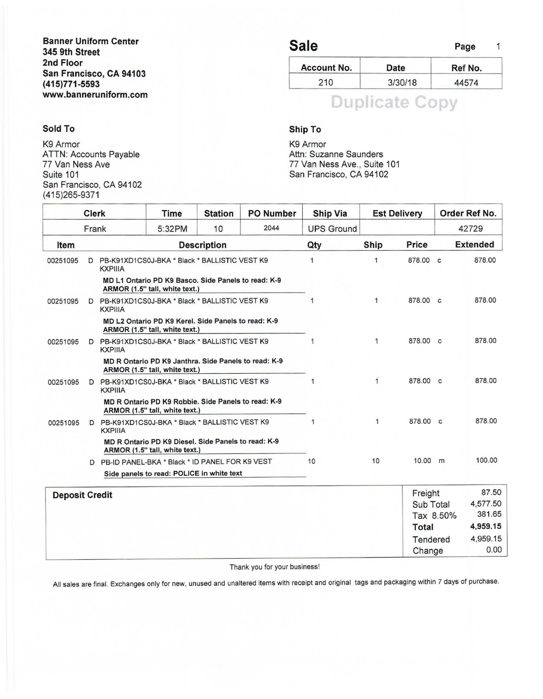#### Banner Uniform Center 345 9th Street 2nd Floor San Francisco, CA 94103 (415)771-5593 www.banneruniform.com

#### Sold To

K9 Armor ATTN: Accounts Payable 77 Van Ness Ave Suite 101 San Francisco, CA 94102 (415)265-9371

## Sale Page 1

| <b>Account No.</b> | Date    | Ref No. |
|--------------------|---------|---------|
| 210                | 3/30/18 | 44574   |

# **Duplicate Copy**

#### Ship To

K9 Armor Attn: Suzanne Saunders 77 Van Ness Ave., Suite 101 San Francisco, CA 94102

|                                                                                  | <b>Clerk</b>          |                                                                 | Time                                                                                   | <b>Station</b>     | <b>PO Number</b>       | <b>Ship Via</b>   |                    | <b>Est Delivery</b> |        | Order Ref No.   |  |
|----------------------------------------------------------------------------------|-----------------------|-----------------------------------------------------------------|----------------------------------------------------------------------------------------|--------------------|------------------------|-------------------|--------------------|---------------------|--------|-----------------|--|
|                                                                                  | Frank                 |                                                                 | 5:32PM                                                                                 | 10                 | 2044                   | <b>UPS Ground</b> |                    |                     |        | 42729           |  |
| Item                                                                             |                       |                                                                 |                                                                                        | <b>Description</b> |                        | Qty               | <b>Ship</b>        | <b>Price</b>        |        | <b>Extended</b> |  |
| 00251095                                                                         | D                     | PB-K91XD1CS0J-BKA * Black * BALLISTIC VEST K9<br><b>KXPIIIA</b> |                                                                                        |                    | 1                      | $\mathbf{1}$      | 878.00 c           |                     | 878.00 |                 |  |
|                                                                                  |                       |                                                                 | MD L1 Ontario PD K9 Basco. Side Panels to read: K-9<br>ARMOR (1.5" tall, white text.)  |                    |                        |                   |                    |                     |        |                 |  |
| PB-K91XD1CS0J-BKA * Black * BALLISTIC VEST K9<br>00251095<br>D<br><b>KXPIIIA</b> |                       |                                                                 |                                                                                        | $\mathbf{1}$       | 878.00 c               |                   | 878.00             |                     |        |                 |  |
|                                                                                  |                       |                                                                 | MD L2 Ontario PD K9 Kerel, Side Panels to read: K-9<br>ARMOR (1.5" tall, white text.)  |                    |                        |                   |                    |                     |        |                 |  |
| 00251095                                                                         |                       | <b>KXPIIIA</b>                                                  | PB-K91XD1CS0J-BKA * Black * BALLISTIC VEST K9                                          |                    |                        |                   | 1                  | 878.00 c            |        | 878.00          |  |
|                                                                                  |                       |                                                                 | MD R Ontario PD K9 Janthra. Side Panels to read: K-9<br>ARMOR (1.5" tall, white text.) |                    |                        |                   |                    |                     |        |                 |  |
| 00251095                                                                         |                       | <b>KXPIIIA</b>                                                  | D PB-K91XD1CS0J-BKA * Black * BALLISTIC VEST K9                                        |                    |                        | 1                 | $\mathbf{1}$       | 878.00 c            |        | 878.00          |  |
|                                                                                  |                       |                                                                 | MD R Ontario PD K9 Robbie. Side Panels to read: K-9<br>ARMOR (1.5" tall, white text.)  |                    |                        |                   |                    |                     |        |                 |  |
| 00251095                                                                         | D                     | <b>KXPIIIA</b>                                                  | PB-K91XD1CS0J-BKA * Black * BALLISTIC VEST K9                                          |                    |                        | 1                 | 1                  | 878.00 c            |        | 878.00          |  |
|                                                                                  |                       |                                                                 | MD R Ontario PD K9 Diesel. Side Panels to read: K-9<br>ARMOR (1.5" tall, white text.)  |                    |                        |                   |                    |                     |        |                 |  |
|                                                                                  |                       |                                                                 | D PB-ID PANEL-BKA * Black * ID PANEL FOR K9 VEST                                       |                    |                        | 10                | 10                 | 10.00 m             |        | 100.00          |  |
|                                                                                  |                       |                                                                 | Side panels to read: POLICE in white text                                              |                    |                        |                   |                    |                     |        |                 |  |
|                                                                                  | <b>Deposit Credit</b> |                                                                 |                                                                                        |                    |                        |                   | Freight            |                     |        |                 |  |
|                                                                                  |                       |                                                                 |                                                                                        |                    | Sub Total<br>Tax 8.50% |                   | 4,577.50<br>381.65 |                     |        |                 |  |
|                                                                                  |                       |                                                                 |                                                                                        |                    |                        |                   |                    | Total               |        | 4,959.15        |  |
|                                                                                  |                       |                                                                 |                                                                                        |                    |                        |                   |                    | Tendered            |        | 4,959.15        |  |
|                                                                                  |                       |                                                                 |                                                                                        |                    |                        |                   |                    | Change              |        | 0.00            |  |
|                                                                                  |                       |                                                                 |                                                                                        |                    |                        |                   |                    |                     |        |                 |  |

#### Thank you for your business!

All sales are final. Exchanges only for new, unused and unaltered items with receipt and original tags and packaging within 7 days of purchase.